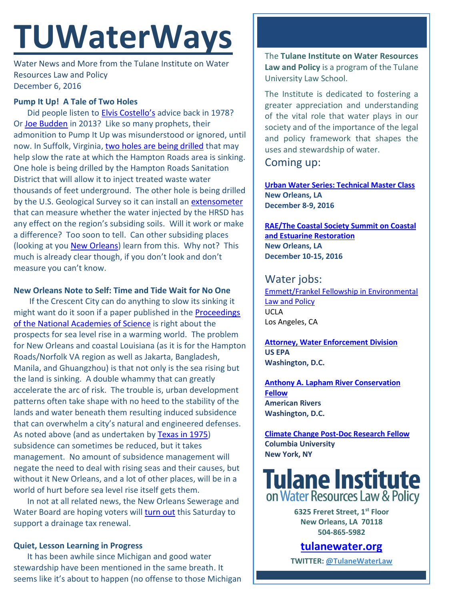# **TUWaterWays**

Water News and More from the Tulane Institute on Water Resources Law and Policy December 6, 2016

## **Pump It Up! A Tale of Two Holes**

Did people listen to [Elvis Costello's](https://www.youtube.com/watch?v=3Y71iDvCYXA) advice back in 1978? Or [Joe Budden](https://www.youtube.com/watch?v=ySfwW_xSRU4) in 2013? Like so many prophets, their admonition to Pump It Up was misunderstood or ignored, until now. In Suffolk, Virginia, [two holes are being drilled](http://pilotonline.com/news/local/environment/the--foot-hole-in-the-ground-that-s-important/article_d1a9792b-4a9e-5da8-ae8d-2499562e92a6.html) that may help slow the rate at which the Hampton Roads area is sinking. One hole is being drilled by the Hampton Roads Sanitation District that will allow it to inject treated waste water thousands of feet underground. The other hole is being drilled by the U.S. Geological Survey so it can install an [extensometer](https://en.wikipedia.org/wiki/Extensometer) that can measure whether the water injected by the HRSD has any effect on the region's subsiding soils. Will it work or make a difference? Too soon to tell. Can other subsiding places (looking at you **New Orleans**) learn from this. Why not? This much is already clear though, if you don't look and don't measure you can't know.

## **New Orleans Note to Self: Time and Tide Wait for No One**

If the Crescent City can do anything to slow its sinking it might want do it soon if a paper published in the **Proceedings** of the [National Academies of Science](http://www.pnas.org/content/113/47/13342.abstract) is right about the prospects for sea level rise in a warming world. The problem for New Orleans and coastal Louisiana (as it is for the Hampton Roads/Norfolk VA region as well as Jakarta, Bangladesh, Manila, and Ghuangzhou) is that not only is the sea rising but the land is sinking. A double whammy that can greatly accelerate the arc of risk. The trouble is, urban development patterns often take shape with no heed to the stability of the lands and water beneath them resulting induced subsidence that can overwhelm a city's natural and engineered defenses. As noted above (and as undertaken by Texas [in 1975\)](http://www.bcwaternews.com/M/GulfCoast/120116.html) subsidence can sometimes be reduced, but it takes management. No amount of subsidence management will negate the need to deal with rising seas and their causes, but without it New Orleans, and a lot of other places, will be in a world of hurt before sea level rise itself gets them.

In not at all related news, the New Orleans Sewerage and Water Board are hoping voters will [turn out](http://uptownmessenger.com/2016/12/sewerage-water-board-of-new-orleans-makes-final-pitch-for-drainage-tax-renewal-before-election/) this Saturday to support a drainage tax renewal.

## **Quiet, Lesson Learning in Progress**

It has been awhile since Michigan and good water stewardship have been mentioned in the same breath. It seems like it's about to happen (no offense to those Michigan The **Tulane Institute on Water Resources Law and Policy** is a program of the Tulane University Law School.

The Institute is dedicated to fostering a greater appreciation and understanding of the vital role that water plays in our society and of the importance of the legal and policy framework that shapes the uses and stewardship of water.

Coming up:

**[Urban Water Series: Technical Master Class](http://www.gnof.org/work/environment/urban-water/) New Orleans, LA December 8-9, 2016**

**[RAE/The Coastal Society Summit on Coastal](https://www.estuaries.org/Summit)  [and Estuarine Restoration](https://www.estuaries.org/Summit) New Orleans, LA December 10-15, 2016**

Water jobs: [Emmett/Frankel Fellowship in Environmental](https://recruit.apo.ucla.edu/apply/JPF02701)  [Law and Policy](https://recruit.apo.ucla.edu/apply/JPF02701) UCLA Los Angeles, CA

**[Attorney, Water Enforcement Division](https://www.epa.gov/enforcement/water-enforcement) US EPA Washington, D.C.**

**[Anthony A. Lapham River Conservation](https://www.americanrivers.org/about-us/careers/open-position-lapham-river-conservation-fellow/)  [Fellow](https://www.americanrivers.org/about-us/careers/open-position-lapham-river-conservation-fellow/) American Rivers Washington, D.C.**

**[Climate Change Post-Doc Research Fellow](https://academicjobs.columbia.edu/applicants/jsp/shared/frameset/Frameset.jsp?time=1479753129326) Columbia University New York, NY**

**Tulane Institute** on Water Resources Law & Policy

> **6325 Freret Street, 1st Floor New Orleans, LA 70118 504-865-5982**

**[tulanewater.org](file:///C:/Users/waterlaw/Downloads/tulanewater.org) TWITTER: [@TulaneWaterLaw](http://www.twitter.com/TulaneWaterLaw)**